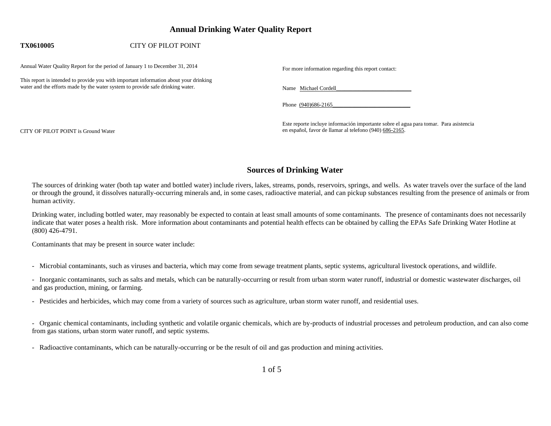## **Annual Drinking Water Quality Report**

### **TX0610005** CITY OF PILOT POINT

Annual Water Quality Report for the period of January 1 to December 31, 2014 For more information regarding this report contact:

This report is intended to provide you with important information about your drinking water and the efforts made by the water system to provide safe drinking water. Name Michael Cordell\_

Phone (940)686-2165

Este reporte incluye información importante sobre el agua para tomar. Para asistencia CITY OF PILOT POINT is Ground Water en español, favor de llamar al telefono (940) 686-2165.

## **Sources of Drinking Water**

The sources of drinking water (both tap water and bottled water) include rivers, lakes, streams, ponds, reservoirs, springs, and wells. As water travels over the surface of the land or through the ground, it dissolves naturally-occurring minerals and, in some cases, radioactive material, and can pickup substances resulting from the presence of animals or from human activity.

Drinking water, including bottled water, may reasonably be expected to contain at least small amounts of some contaminants. The presence of contaminants does not necessarily indicate that water poses a health risk. More information about contaminants and potential health effects can be obtained by calling the EPAs Safe Drinking Water Hotline at (800) 426-4791.

Contaminants that may be present in source water include:

- Microbial contaminants, such as viruses and bacteria, which may come from sewage treatment plants, septic systems, agricultural livestock operations, and wildlife.

- Inorganic contaminants, such as salts and metals, which can be naturally-occurring or result from urban storm water runoff, industrial or domestic wastewater discharges, oil and gas production, mining, or farming.

- Pesticides and herbicides, which may come from a variety of sources such as agriculture, urban storm water runoff, and residential uses.

- Organic chemical contaminants, including synthetic and volatile organic chemicals, which are by-products of industrial processes and petroleum production, and can also come from gas stations, urban storm water runoff, and septic systems.

- Radioactive contaminants, which can be naturally-occurring or be the result of oil and gas production and mining activities.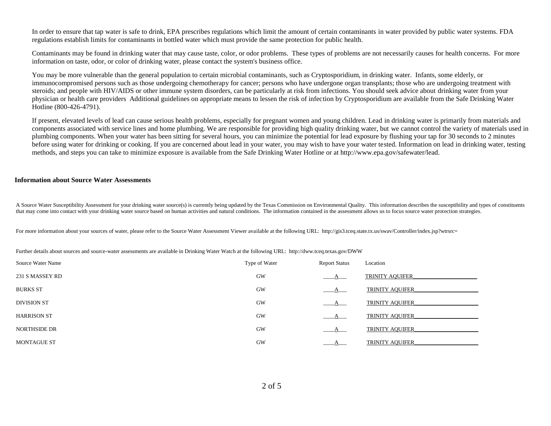In order to ensure that tap water is safe to drink, EPA prescribes regulations which limit the amount of certain contaminants in water provided by public water systems. FDA regulations establish limits for contaminants in bottled water which must provide the same protection for public health.

Contaminants may be found in drinking water that may cause taste, color, or odor problems. These types of problems are not necessarily causes for health concerns. For more information on taste, odor, or color of drinking water, please contact the system's business office.

You may be more vulnerable than the general population to certain microbial contaminants, such as Cryptosporidium, in drinking water. Infants, some elderly, or immunocompromised persons such as those undergoing chemotherapy for cancer; persons who have undergone organ transplants; those who are undergoing treatment with steroids; and people with HIV/AIDS or other immune system disorders, can be particularly at risk from infections. You should seek advice about drinking water from your physician or health care providers Additional guidelines on appropriate means to lessen the risk of infection by Cryptosporidium are available from the Safe Drinking Water Hotline (800-426-4791).

If present, elevated levels of lead can cause serious health problems, especially for pregnant women and young children. Lead in drinking water is primarily from materials and components associated with service lines and home plumbing. We are responsible for providing high quality drinking water, but we cannot control the variety of materials used in plumbing components. When your water has been sitting for several hours, you can minimize the potential for lead exposure by flushing your tap for 30 seconds to 2 minutes before using water for drinking or cooking. If you are concerned about lead in your water, you may wish to have your water tested. Information on lead in drinking water, testing methods, and steps you can take to minimize exposure is available from the Safe Drinking Water Hotline or at http://www.epa.gov/safewater/lead.

#### **Information about Source Water Assessments**

A Source Water Susceptibility Assessment for your drinking water source(s) is currently being updated by the Texas Commission on Environmental Quality. This information describes the susceptibility and types of constituents that may come into contact with your drinking water source based on human activities and natural conditions. The information contained in the assessment allows us to focus source water protection strategies.

For more information about your sources of water, please refer to the Source Water Assessment Viewer available at the following URL: http://gis3.tceq.state.tx.us/swav/Controller/index.jsp?wtrsrc=

Further details about sources and source-water assessments are available in Drinking Water Watch at the following URL: http://dww.tceq.texas.gov/DWW

| Source Water Name   | Type of Water | <b>Report Status</b> | Location               |
|---------------------|---------------|----------------------|------------------------|
| 231 S MASSEY RD     | GW            | $\mathbf{A}_{-}$     | <b>TRINITY AQUIFER</b> |
| <b>BURKS ST</b>     | GW            | <b>A</b>             | <b>TRINITY AQUIFER</b> |
| <b>DIVISION ST</b>  | <b>GW</b>     | A.                   | <b>TRINITY AQUIFER</b> |
| <b>HARRISON ST</b>  | <b>GW</b>     | A                    | <b>TRINITY AQUIFER</b> |
| <b>NORTHSIDE DR</b> | GW            | A                    | <b>TRINITY AQUIFER</b> |
| <b>MONTAGUE ST</b>  | <b>GW</b>     | А                    | <b>TRINITY AQUIFER</b> |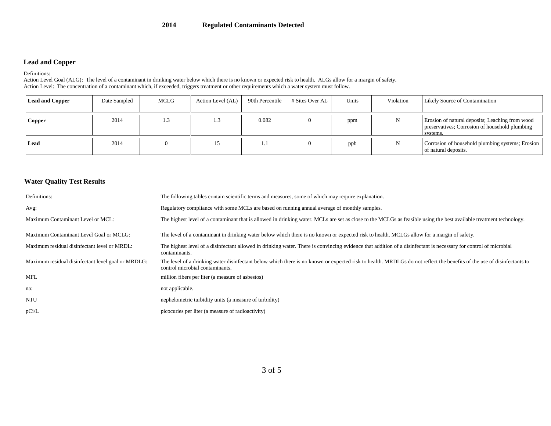### **Lead and Copper**

Definitions:

Action Level Goal (ALG): The level of a contaminant in drinking water below which there is no known or expected risk to health. ALGs allow for a margin of safety. Action Level: The concentration of a contaminant which, if exceeded, triggers treatment or other requirements which a water system must follow.

| <b>Lead and Copper</b> | Date Sampled | MCLG | Action Level (AL) | 90th Percentile | # Sites Over AL | Units | Violation | Likely Source of Contamination                                                                                |
|------------------------|--------------|------|-------------------|-----------------|-----------------|-------|-----------|---------------------------------------------------------------------------------------------------------------|
| <b>Copper</b>          | 2014         | 1.3  |                   | 0.082           |                 | ppm   |           | Erosion of natural deposits; Leaching from wood<br>preservatives; Corrosion of household plumbing<br>systems. |
| Lead                   | 2014         |      |                   | 1. J            |                 | ppb   |           | Corrosion of household plumbing systems; Erosion<br>of natural deposits.                                      |

### **Water Quality Test Results**

| Definitions:                                       | The following tables contain scientific terms and measures, some of which may require explanation.                                                                                                        |  |  |  |  |
|----------------------------------------------------|-----------------------------------------------------------------------------------------------------------------------------------------------------------------------------------------------------------|--|--|--|--|
| Avg:                                               | Regulatory compliance with some MCLs are based on running annual average of monthly samples.                                                                                                              |  |  |  |  |
| Maximum Contaminant Level or MCL:                  | The highest level of a contaminant that is allowed in drinking water. MCLs are set as close to the MCLGs as feasible using the best available treatment technology.                                       |  |  |  |  |
| Maximum Contaminant Level Goal or MCLG:            | The level of a contaminant in drinking water below which there is no known or expected risk to health. MCLGs allow for a margin of safety.                                                                |  |  |  |  |
| Maximum residual disinfectant level or MRDL:       | The highest level of a disinfectant allowed in drinking water. There is convincing evidence that addition of a disinfectant is necessary for control of microbial<br>contaminants.                        |  |  |  |  |
| Maximum residual disinfectant level goal or MRDLG: | The level of a drinking water disinfectant below which there is no known or expected risk to health. MRDLGs do not reflect the benefits of the use of disinfectants to<br>control microbial contaminants. |  |  |  |  |
| MFL                                                | million fibers per liter (a measure of asbestos)                                                                                                                                                          |  |  |  |  |
| na:                                                | not applicable.                                                                                                                                                                                           |  |  |  |  |
| <b>NTU</b>                                         | nephelometric turbidity units (a measure of turbidity)                                                                                                                                                    |  |  |  |  |
| pCi/L                                              | picocuries per liter (a measure of radioactivity)                                                                                                                                                         |  |  |  |  |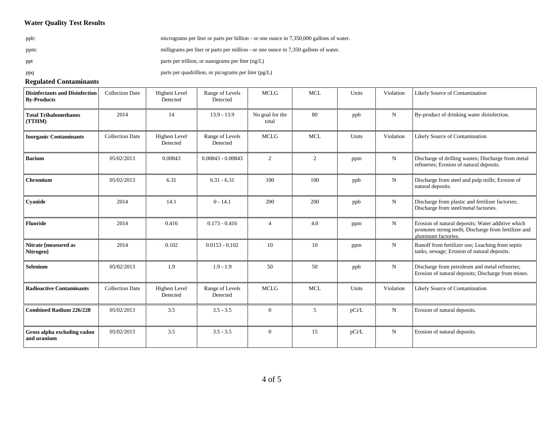### **Water Quality Test Results**

ppb: micrograms per liter or parts per billion - or one ounce in 7,350,000 gallons of water. ppm: milligrams per liter or parts per million - or one ounce in 7,350 gallons of water. ppt parts per trillion, or nanograms per liter (ng/L) ppq parts per quadrillion, or picograms per liter (pg/L)

#### **Regulated Contaminants**

| <b>Disinfectants and Disinfection</b><br><b>By-Products</b> | <b>Collection Date</b> | <b>Highest Level</b><br>Detected | Range of Levels<br>Detected | <b>MCLG</b>              | <b>MCL</b> | Units | Violation   | Likely Source of Contamination                                                                                                   |
|-------------------------------------------------------------|------------------------|----------------------------------|-----------------------------|--------------------------|------------|-------|-------------|----------------------------------------------------------------------------------------------------------------------------------|
| <b>Total Trihalomethanes</b><br>(TTHM)                      | 2014                   | 14                               | $13.9 - 13.9$               | No goal for the<br>total | 80         | ppb   | $\mathbf N$ | By-product of drinking water disinfection.                                                                                       |
| <b>Inorganic Contaminants</b>                               | <b>Collection Date</b> | <b>Highest Level</b><br>Detected | Range of Levels<br>Detected | <b>MCLG</b>              | <b>MCL</b> | Units | Violation   | Likely Source of Contamination                                                                                                   |
| <b>Barium</b>                                               | 05/02/2013             | 0.00843                          | $0.00843 - 0.00843$         | 2                        | 2          | ppm   | N           | Discharge of drilling wastes; Discharge from metal<br>refineries; Erosion of natural deposits.                                   |
| Chromium                                                    | 05/02/2013             | 6.31                             | $6.31 - 6.31$               | 100                      | 100        | ppb   | N           | Discharge from steel and pulp mills; Erosion of<br>natural deposits.                                                             |
| Cyanide                                                     | 2014                   | 14.1                             | $0 - 14.1$                  | 200                      | 200        | ppb   | N           | Discharge from plastic and fertilizer factories;<br>Discharge from steel/metal factories.                                        |
| <b>Fluoride</b>                                             | 2014                   | 0.416                            | $0.173 - 0.416$             | $\overline{4}$           | 4.0        | ppm   | N           | Erosion of natural deposits; Water additive which<br>promotes strong teeth; Discharge from fertilizer and<br>aluminum factories. |
| Nitrate [measured as<br>Nitrogen]                           | 2014                   | 0.102                            | $0.0153 - 0.102$            | 10                       | 10         | ppm   | ${\bf N}$   | Runoff from fertilizer use; Leaching from septic<br>tanks, sewage; Erosion of natural deposits.                                  |
| Selenium                                                    | 05/02/2013             | 1.9                              | $1.9 - 1.9$                 | 50                       | 50         | ppb   | N           | Discharge from petroleum and metal refineries;<br>Erosion of natural deposits; Discharge from mines.                             |
| <b>Radioactive Contaminants</b>                             | <b>Collection Date</b> | <b>Highest Level</b><br>Detected | Range of Levels<br>Detected | <b>MCLG</b>              | <b>MCL</b> | Units | Violation   | Likely Source of Contamination                                                                                                   |
| <b>Combined Radium 226/228</b>                              | 05/02/2013             | 3.5                              | $3.5 - 3.5$                 | $\Omega$                 | 5          | pCi/L | N           | Erosion of natural deposits.                                                                                                     |
| Gross alpha excluding radon<br>and uranium                  | 05/02/2013             | 3.5                              | $3.5 - 3.5$                 | $\overline{0}$           | 15         | pCi/L | $\mathbf N$ | Erosion of natural deposits.                                                                                                     |